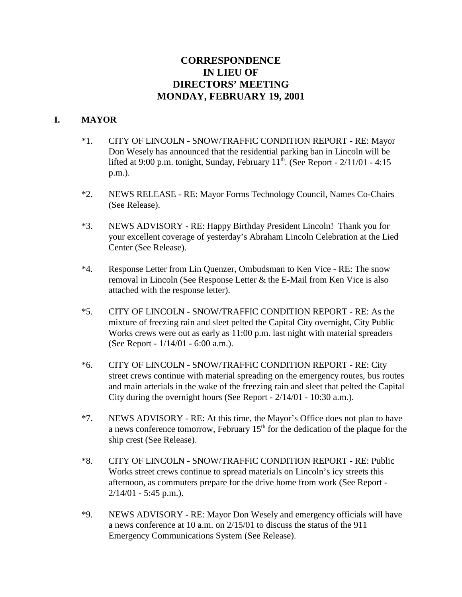# **CORRESPONDENCE IN LIEU OF DIRECTORS' MEETING MONDAY, FEBRUARY 19, 2001**

#### **I. MAYOR**

- \*1. CITY OF LINCOLN SNOW/TRAFFIC CONDITION REPORT RE: Mayor Don Wesely has announced that the residential parking ban in Lincoln will be lifted at 9:00 p.m. tonight, Sunday, February  $11<sup>th</sup>$ . (See Report -  $2/11/01$  - 4:15 p.m.).
- \*2. NEWS RELEASE RE: Mayor Forms Technology Council, Names Co-Chairs (See Release).
- \*3. NEWS ADVISORY RE: Happy Birthday President Lincoln! Thank you for your excellent coverage of yesterday's Abraham Lincoln Celebration at the Lied Center (See Release).
- \*4. Response Letter from Lin Quenzer, Ombudsman to Ken Vice RE: The snow removal in Lincoln (See Response Letter & the E-Mail from Ken Vice is also attached with the response letter).
- \*5. CITY OF LINCOLN SNOW/TRAFFIC CONDITION REPORT RE: As the mixture of freezing rain and sleet pelted the Capital City overnight, City Public Works crews were out as early as 11:00 p.m. last night with material spreaders (See Report - 1/14/01 - 6:00 a.m.).
- \*6. CITY OF LINCOLN SNOW/TRAFFIC CONDITION REPORT RE: City street crews continue with material spreading on the emergency routes, bus routes and main arterials in the wake of the freezing rain and sleet that pelted the Capital City during the overnight hours (See Report - 2/14/01 - 10:30 a.m.).
- \*7. NEWS ADVISORY RE: At this time, the Mayor's Office does not plan to have a news conference tomorrow, February  $15<sup>th</sup>$  for the dedication of the plaque for the ship crest (See Release).
- \*8. CITY OF LINCOLN SNOW/TRAFFIC CONDITION REPORT RE: Public Works street crews continue to spread materials on Lincoln's icy streets this afternoon, as commuters prepare for the drive home from work (See Report - 2/14/01 - 5:45 p.m.).
- \*9. NEWS ADVISORY RE: Mayor Don Wesely and emergency officials will have a news conference at 10 a.m. on 2/15/01 to discuss the status of the 911 Emergency Communications System (See Release).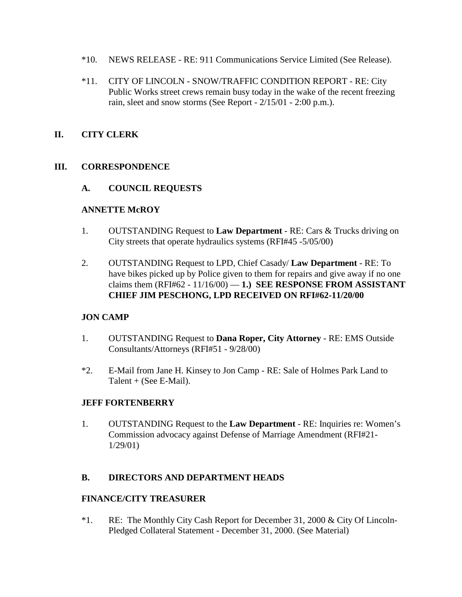- \*10. NEWS RELEASE RE: 911 Communications Service Limited (See Release).
- \*11. CITY OF LINCOLN SNOW/TRAFFIC CONDITION REPORT RE: City Public Works street crews remain busy today in the wake of the recent freezing rain, sleet and snow storms (See Report - 2/15/01 - 2:00 p.m.).

### **II. CITY CLERK**

### **III. CORRESPONDENCE**

### **A. COUNCIL REQUESTS**

### **ANNETTE McROY**

- 1. OUTSTANDING Request to **Law Department** RE: Cars & Trucks driving on City streets that operate hydraulics systems (RFI#45 -5/05/00)
- 2. OUTSTANDING Request to LPD, Chief Casady/ **Law Department** RE: To have bikes picked up by Police given to them for repairs and give away if no one claims them  $(RFI#62 - 11/16/00) - 1$ .) **SEE RESPONSE FROM ASSISTANT CHIEF JIM PESCHONG, LPD RECEIVED ON RFI#62-11/20/00**

### **JON CAMP**

- 1. OUTSTANDING Request to **Dana Roper, City Attorney** RE: EMS Outside Consultants/Attorneys (RFI#51 - 9/28/00)
- \*2. E-Mail from Jane H. Kinsey to Jon Camp RE: Sale of Holmes Park Land to Talent + (See E-Mail).

### **JEFF FORTENBERRY**

1. OUTSTANDING Request to the **Law Department** - RE: Inquiries re: Women's Commission advocacy against Defense of Marriage Amendment (RFI#21- 1/29/01)

### **B. DIRECTORS AND DEPARTMENT HEADS**

### **FINANCE/CITY TREASURER**

\*1. RE: The Monthly City Cash Report for December 31, 2000 & City Of Lincoln-Pledged Collateral Statement - December 31, 2000. (See Material)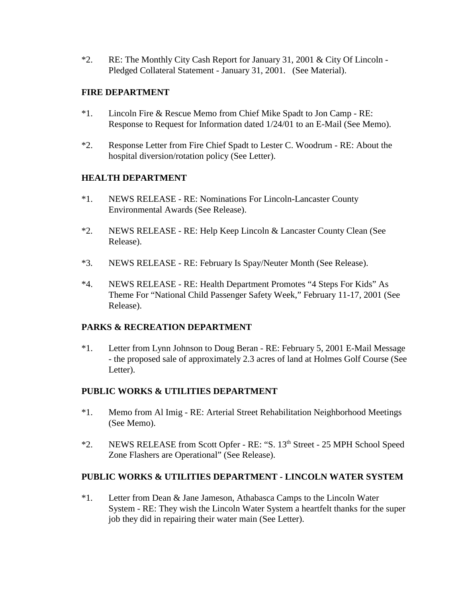\*2. RE: The Monthly City Cash Report for January 31, 2001 & City Of Lincoln - Pledged Collateral Statement - January 31, 2001. (See Material).

### **FIRE DEPARTMENT**

- \*1. Lincoln Fire & Rescue Memo from Chief Mike Spadt to Jon Camp RE: Response to Request for Information dated 1/24/01 to an E-Mail (See Memo).
- \*2. Response Letter from Fire Chief Spadt to Lester C. Woodrum RE: About the hospital diversion/rotation policy (See Letter).

### **HEALTH DEPARTMENT**

- \*1. NEWS RELEASE RE: Nominations For Lincoln-Lancaster County Environmental Awards (See Release).
- \*2. NEWS RELEASE RE: Help Keep Lincoln & Lancaster County Clean (See Release).
- \*3. NEWS RELEASE RE: February Is Spay/Neuter Month (See Release).
- \*4. NEWS RELEASE RE: Health Department Promotes "4 Steps For Kids" As Theme For "National Child Passenger Safety Week," February 11-17, 2001 (See Release).

## **PARKS & RECREATION DEPARTMENT**

\*1. Letter from Lynn Johnson to Doug Beran - RE: February 5, 2001 E-Mail Message - the proposed sale of approximately 2.3 acres of land at Holmes Golf Course (See Letter).

## **PUBLIC WORKS & UTILITIES DEPARTMENT**

- \*1. Memo from Al Imig RE: Arterial Street Rehabilitation Neighborhood Meetings (See Memo).
- \*2. NEWS RELEASE from Scott Opfer RE: "S. 13th Street 25 MPH School Speed Zone Flashers are Operational" (See Release).

## **PUBLIC WORKS & UTILITIES DEPARTMENT - LINCOLN WATER SYSTEM**

\*1. Letter from Dean & Jane Jameson, Athabasca Camps to the Lincoln Water System - RE: They wish the Lincoln Water System a heartfelt thanks for the super job they did in repairing their water main (See Letter).